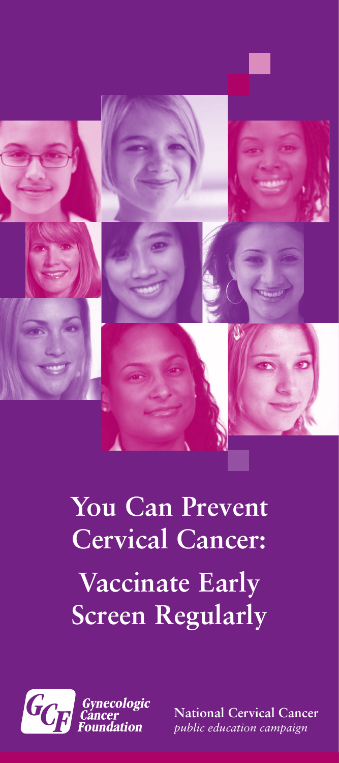

# **You Can Prevent Cervical Cancer: Vaccinate Early Screen Regularly**



**National Cervical Cancer** *public education campaign*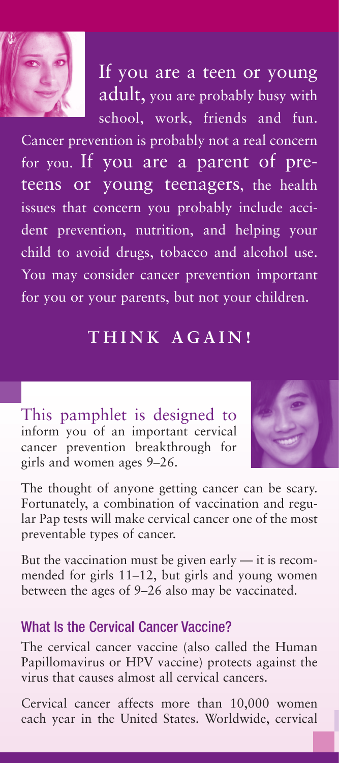

If you are a teen or young adult, you are probably busy with school, work, friends and fun.

Cancer prevention is probably not a real concern for you. If you are a parent of preteens or young teenagers, the health issues that concern you probably include accident prevention, nutrition, and helping your child to avoid drugs, tobacco and alcohol use. You may consider cancer prevention important for you or your parents, but not your children.

## **THINK AGAIN!**

This pamphlet is designed to inform you of an important cervical cancer prevention breakthrough for girls and women ages 9–26.



The thought of anyone getting cancer can be scary. Fortunately, a combination of vaccination and regular Pap tests will make cervical cancer one of the most preventable types of cancer.

But the vaccination must be given early — it is recommended for girls 11–12, but girls and young women between the ages of 9–26 also may be vaccinated.

## What Is the Cervical Cancer Vaccine?

The cervical cancer vaccine (also called the Human Papillomavirus or HPV vaccine) protects against the virus that causes almost all cervical cancers.

Cervical cancer affects more than 10,000 women each year in the United States. Worldwide, cervical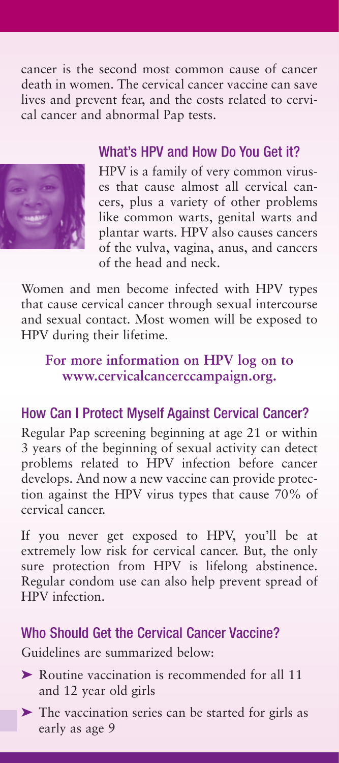cancer is the second most common cause of cancer death in women. The cervical cancer vaccine can save lives and prevent fear, and the costs related to cervical cancer and abnormal Pap tests.



## What's HPV and How Do You Get it?

HPV is a family of very common viruses that cause almost all cervical cancers, plus a variety of other problems like common warts, genital warts and plantar warts. HPV also causes cancers of the vulva, vagina, anus, and cancers of the head and neck.

Women and men become infected with HPV types that cause cervical cancer through sexual intercourse and sexual contact. Most women will be exposed to HPV during their lifetime.

## **For more information on HPV log on to www.cervicalcancerccampaign.org.**

## How Can I Protect Myself Against Cervical Cancer?

Regular Pap screening beginning at age 21 or within 3 years of the beginning of sexual activity can detect problems related to HPV infection before cancer develops. And now a new vaccine can provide protection against the HPV virus types that cause 70% of cervical cancer.

If you never get exposed to HPV, you'll be at extremely low risk for cervical cancer. But, the only sure protection from HPV is lifelong abstinence. Regular condom use can also help prevent spread of HPV infection.

#### Who Should Get the Cervical Cancer Vaccine?

Guidelines are summarized below:

- ➤ Routine vaccination is recommended for all 11 and 12 year old girls
- ➤ The vaccination series can be started for girls as early as age 9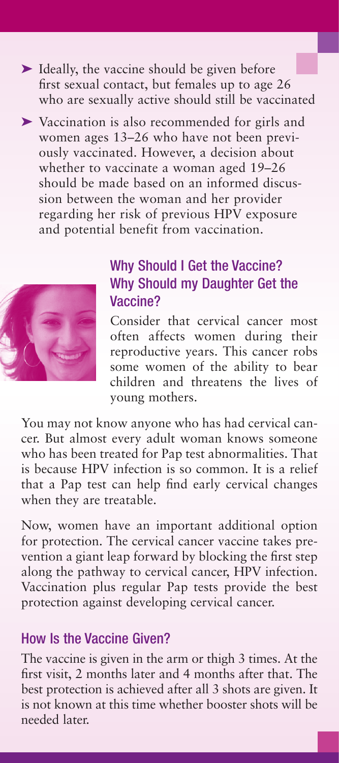- ➤ Ideally, the vaccine should be given before first sexual contact, but females up to age 26 who are sexually active should still be vaccinated
- ➤ Vaccination is also recommended for girls and women ages 13–26 who have not been previously vaccinated. However, a decision about whether to vaccinate a woman aged 19–26 should be made based on an informed discussion between the woman and her provider regarding her risk of previous HPV exposure and potential benefit from vaccination.



## Why Should I Get the Vaccine? Why Should my Daughter Get the Vaccine?

Consider that cervical cancer most often affects women during their reproductive years. This cancer robs some women of the ability to bear children and threatens the lives of young mothers.

You may not know anyone who has had cervical cancer. But almost every adult woman knows someone who has been treated for Pap test abnormalities. That is because HPV infection is so common. It is a relief that a Pap test can help find early cervical changes when they are treatable.

Now, women have an important additional option for protection. The cervical cancer vaccine takes prevention a giant leap forward by blocking the first step along the pathway to cervical cancer, HPV infection. Vaccination plus regular Pap tests provide the best protection against developing cervical cancer.

## How Is the Vaccine Given?

The vaccine is given in the arm or thigh 3 times. At the first visit, 2 months later and 4 months after that. The best protection is achieved after all 3 shots are given. It is not known at this time whether booster shots will be needed later.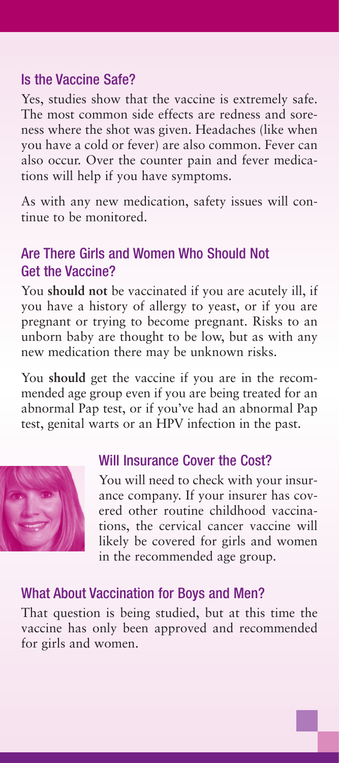## Is the Vaccine Safe?

Yes, studies show that the vaccine is extremely safe. The most common side effects are redness and soreness where the shot was given. Headaches (like when you have a cold or fever) are also common. Fever can also occur. Over the counter pain and fever medications will help if you have symptoms.

As with any new medication, safety issues will continue to be monitored.

## Are There Girls and Women Who Should Not Get the Vaccine?

You **should not** be vaccinated if you are acutely ill, if you have a history of allergy to yeast, or if you are pregnant or trying to become pregnant. Risks to an unborn baby are thought to be low, but as with any new medication there may be unknown risks.

You **should** get the vaccine if you are in the recommended age group even if you are being treated for an abnormal Pap test, or if you've had an abnormal Pap test, genital warts or an HPV infection in the past.



## Will Insurance Cover the Cost?

You will need to check with your insurance company. If your insurer has covered other routine childhood vaccinations, the cervical cancer vaccine will likely be covered for girls and women in the recommended age group.

## What About Vaccination for Boys and Men?

That question is being studied, but at this time the vaccine has only been approved and recommended for girls and women.